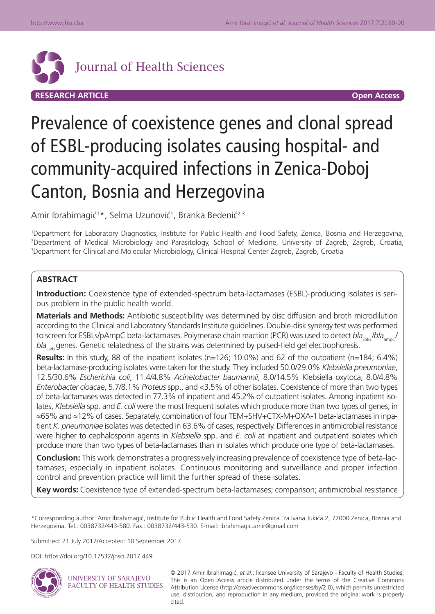

# Prevalence of coexistence genes and clonal spread of ESBL-producing isolates causing hospital- and community-acquired infections in Zenica-Doboj Canton, Bosnia and Herzegovina

Amir Ibrahimagić<sup>1</sup>\*, Selma Uzunović<sup>1</sup>, Branka Bedenić<sup>2,3</sup>

1 Department for Laboratory Diagnostics, Institute for Public Health and Food Safety, Zenica, Bosnia and Herzegovina, 2Department of Medical Microbiology and Parasitology, School of Medicine, University of Zagreb, Zagreb, Croatia, 3 Department for Clinical and Molecular Microbiology, Clinical Hospital Center Zagreb, Zagreb, Croatia

# **ABSTRACT**

**Introduction:** Coexistence type of extended-spectrum beta-lactamases (ESBL)-producing isolates is serious problem in the public health world.

**Materials and Methods:** Antibiotic susceptibility was determined by disc diffusion and broth microdilution according to the Clinical and Laboratory Standards Institute guidelines. Double-disk synergy test was performed to screen for ESBLs/pAmpC beta-lactamases. Polymerase chain reaction (PCR) was used to detect *bla<sub>ESBI</sub>*/bla<sub>ampC</sub>/ *bla<sub>cath</sub>* genes. Genetic relatedness of the strains was determined by pulsed-field gel electrophoresis.

**Results:** In this study, 88 of the inpatient isolates (n=126; 10.0%) and 62 of the outpatient (n=184; 6.4%) beta-lactamase-producing isolates were taken for the study. They included 50.0/29.0% *Klebsiella pneumoniae*, 12.5/30.6% *Escherichia coli*, 11.4/4.8% *Acinetobacter baumannii*, 8.0/14.5% Klebsiella oxytoca, 8.0/4.8% *Enterobacter cloacae*, 5.7/8.1% *Proteus* spp., and <3.5% of other isolates. Coexistence of more than two types of beta-lactamases was detected in 77.3% of inpatient and 45.2% of outpatient isolates. Among inpatient isolates, *Klebsiella* spp. and *E. coli* were the most frequent isolates which produce more than two types of genes, in ≈65% and ≈12% of cases. Separately, combination of four TEM+SHV+CTX-M+OXA-1 beta-lactamases in inpatient *K. pneumoniae* isolates was detected in 63.6% of cases, respectively. Differences in antimicrobial resistance were higher to cephalosporin agents in *Klebsiella* spp. and *E. coli* at inpatient and outpatient isolates which produce more than two types of beta-lactamases than in isolates which produce one type of beta-lactamases.

**Conclusion:** This work demonstrates a progressively increasing prevalence of coexistence type of beta-lactamases, especially in inpatient isolates. Continuous monitoring and surveillance and proper infection control and prevention practice will limit the further spread of these isolates.

**Key words:** Coexistence type of extended-spectrum beta-lactamases; comparison; antimicrobial resistance

Submitted: 21 July 2017/Accepted: 10 September 2017

DOI: https://doi.org/10.17532/jhsci.2017.449



UNIVERSITY OF SARAJEVO **FACULTY OF HEALTH STUDIES** 

© 2017 Amir Ibrahimagić, *et al.*; licensee University of Sarajevo - Faculty of Health Studies. This is an Open Access article distributed under the terms of the Creative Commons Attribution License (http://creativecommons.org/licenses/by/2.0), which permits unrestricted use, distribution, and reproduction in any medium, provided the original work is properly cited.

<sup>\*</sup>Corresponding author: Amir Ibrahimagić, Institute for Public Health and Food Safety Zenica Fra Ivana Jukića 2, 72000 Zenica, Bosnia and Herzegovina. Tel.: 0038732/443-580. Fax.: 0038732/443-530. E-mail: ibrahimagic.amir@gmail.com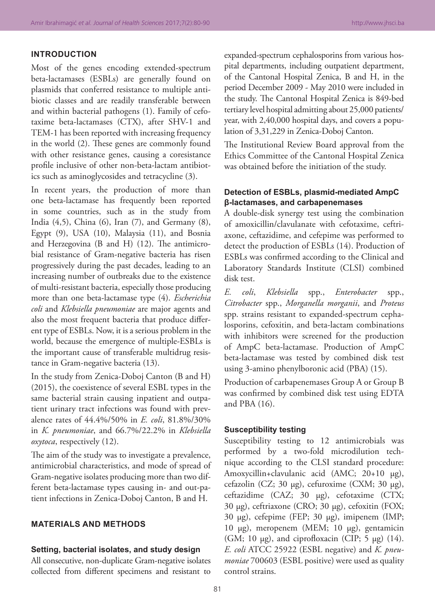## **INTRODUCTION**

Most of the genes encoding extended-spectrum beta-lactamases (ESBLs) are generally found on plasmids that conferred resistance to multiple antibiotic classes and are readily transferable between and within bacterial pathogens (1). Family of cefotaxime beta-lactamases (CTX), after SHV-1 and TEM-1 has been reported with increasing frequency in the world (2). These genes are commonly found with other resistance genes, causing a coresistance profile inclusive of other non-beta-lactam antibiotics such as aminoglycosides and tetracycline (3).

In recent years, the production of more than one beta-lactamase has frequently been reported in some countries, such as in the study from India (4,5), China (6), Iran (7), and Germany (8), Egypt (9), USA (10), Malaysia (11), and Bosnia and Herzegovina (B and H) (12). The antimicrobial resistance of Gram-negative bacteria has risen progressively during the past decades, leading to an increasing number of outbreaks due to the existence of multi-resistant bacteria, especially those producing more than one beta-lactamase type (4). *Escherichia coli* and *Klebsiella pneumoniae* are major agents and also the most frequent bacteria that produce different type of ESBLs. Now, it is a serious problem in the world, because the emergence of multiple-ESBLs is the important cause of transferable multidrug resistance in Gram-negative bacteria (13).

In the study from Zenica-Doboj Canton (B and H) (2015), the coexistence of several ESBL types in the same bacterial strain causing inpatient and outpatient urinary tract infections was found with prevalence rates of 44.4%/50% in *E. coli*, 81.8%/30% in *K. pneumoniae*, and 66.7%/22.2% in *Klebsiella oxytoca*, respectively (12).

The aim of the study was to investigate a prevalence, antimicrobial characteristics, and mode of spread of Gram-negative isolates producing more than two different beta-lactamase types causing in- and out-patient infections in Zenica-Doboj Canton, B and H.

# **MATERIALS AND METHODS**

#### **Setting, bacterial isolates, and study design**

All consecutive, non-duplicate Gram-negative isolates collected from different specimens and resistant to expanded-spectrum cephalosporins from various hospital departments, including outpatient department, of the Cantonal Hospital Zenica, B and H, in the period December 2009 - May 2010 were included in the study. The Cantonal Hospital Zenica is 849-bed tertiary level hospital admitting about 25,000 patients/ year, with 2,40,000 hospital days, and covers a population of 3,31,229 in Zenica-Doboj Canton.

The Institutional Review Board approval from the Ethics Committee of the Cantonal Hospital Zenica was obtained before the initiation of the study.

#### **Detection of ESBLs, plasmid-mediated AmpC β-lactamases, and carbapenemases**

A double-disk synergy test using the combination of amoxicillin/clavulanate with cefotaxime, ceftriaxone, ceftazidime, and cefepime was performed to detect the production of ESBLs (14). Production of ESBLs was confirmed according to the Clinical and Laboratory Standards Institute (CLSI) combined disk test.

*E. coli*, *Klebsiella* spp., *Enterobacter* spp., *Citrobacter* spp., *Morganella morganii*, and *Proteus* spp. strains resistant to expanded-spectrum cephalosporins, cefoxitin, and beta-lactam combinations with inhibitors were screened for the production of AmpC beta-lactamase. Production of AmpC beta-lactamase was tested by combined disk test using 3-amino phenylboronic acid (PBA) (15).

Production of carbapenemases Group A or Group B was confirmed by combined disk test using EDTA and PBA (16).

#### **Susceptibility testing**

Susceptibility testing to 12 antimicrobials was performed by a two-fold microdilution technique according to the CLSI standard procedure: Amoxycillin+clavulanic acid (AMC; 20+10 µg), cefazolin (CZ; 30 µg), cefuroxime (CXM; 30 µg), ceftazidime (CAZ; 30 µg), cefotaxime (CTX; 30 µg), ceftriaxone (CRO; 30 µg), cefoxitin (FOX; 30 µg), cefepime (FEP; 30 µg), imipenem (IMP; 10 µg), meropenem (MEM; 10 µg), gentamicin (GM; 10  $\mu$ g), and ciprofloxacin (CIP; 5  $\mu$ g) (14). *E. coli* ATCC 25922 (ESBL negative) and *K. pneumoniae* 700603 (ESBL positive) were used as quality control strains.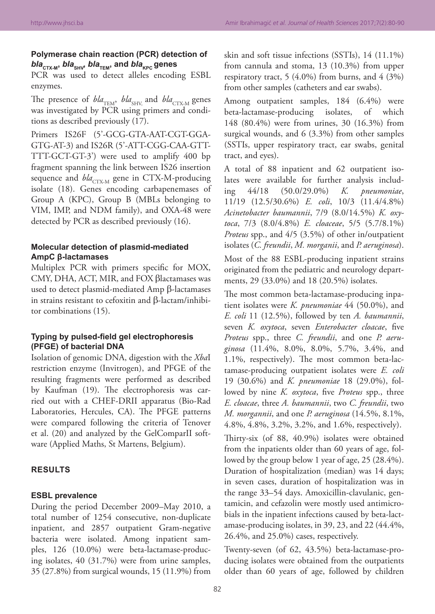# **Polymerase chain reaction (PCR) detection of**   $b/a$ <sub>CTX-M</sub>,  $b/a$ <sub>SHV</sub>,  $b/a$ <sub>TEM</sub>, and  $b/a$ <sub>KPC</sub> genes

PCR was used to detect alleles encoding ESBL enzymes.

The presence of  $bla_{\text{TEM}}$ ,  $bla_{\text{SHV}}$  and  $bla_{\text{CTX-M}}$  genes was investigated by PCR using primers and conditions as described previously (17).

Primers IS26F (5'-GCG-GTA-AAT-CGT-GGA-GTG-AT-3) and IS26R (5'-ATT-CGG-CAA-GTT-TTT-GCT-GT-3') were used to amplify 400 bp fragment spanning the link between IS26 insertion sequence and *bla<sub>CTX-M</sub>* gene in CTX-M-producing isolate (18). Genes encoding carbapenemases of Group A (KPC), Group B (MBLs belonging to VIM, IMP, and NDM family), and OXA-48 were detected by PCR as described previously (16).

# **Molecular detection of plasmid-mediated AmpC β-lactamases**

Multiplex PCR with primers specific for MOX, CMY, DHA, ACT, MIR, and FOX βlactamases was used to detect plasmid-mediated Amp β-lactamases in strains resistant to cefoxitin and β-lactam/inhibitor combinations (15).

## **Typing by pulsed-field gel electrophoresis (PFGE) of bacterial DNA**

Isolation of genomic DNA, digestion with the *Xba*I restriction enzyme (Invitrogen), and PFGE of the resulting fragments were performed as described by Kaufman (19). The electrophoresis was carried out with a CHEF-DRII apparatus (Bio-Rad Laboratories, Hercules, CA). The PFGE patterns were compared following the criteria of Tenover et al. (20) and analyzed by the GelComparII software (Applied Maths, St Martens, Belgium).

### **RESULTS**

#### **ESBL prevalence**

During the period December 2009–May 2010, a total number of 1254 consecutive, non-duplicate inpatient, and 2857 outpatient Gram-negative bacteria were isolated. Among inpatient samples, 126 (10.0%) were beta-lactamase-producing isolates, 40 (31.7%) were from urine samples, 35 (27.8%) from surgical wounds, 15 (11.9%) from

skin and soft tissue infections (SSTIs), 14 (11.1%) from cannula and stoma, 13 (10.3%) from upper respiratory tract, 5  $(4.0\%)$  from burns, and  $4$   $(3\%)$ from other samples (catheters and ear swabs).

Among outpatient samples, 184 (6.4%) were beta-lactamase-producing isolates, of which 148 (80.4%) were from urines, 30 (16.3%) from surgical wounds, and 6 (3.3%) from other samples (SSTIs, upper respiratory tract, ear swabs, genital tract, and eyes).

A total of 88 inpatient and 62 outpatient isolates were available for further analysis including 44/18 (50.0/29.0%) *K. pneumoniae*, 11/19 (12.5/30.6%) *E. coli*, 10/3 (11.4/4.8%) *Acinetobacter baumannii*, 7/9 (8.0/14.5%) *K. oxytoca*, 7/3 (8.0/4.8%) *E. cloaceae*, 5/5 (5.7/8.1%) *Proteus* spp., and 4/5 (3.5%) of other in/outpatient isolates (*C. freundii*, *M. morganii*, and *P. aeruginosa*).

Most of the 88 ESBL-producing inpatient strains originated from the pediatric and neurology departments, 29 (33.0%) and 18 (20.5%) isolates.

The most common beta-lactamase-producing inpatient isolates were *K. pneumoniae* 44 (50.0%), and *E. coli* 11 (12.5%), followed by ten *A. baumannii*, seven *K. oxytoca*, seven *Enterobacter cloacae*, five *Proteus* spp., three *C. freundii*, and one *P. aeruginosa* (11.4%, 8.0%, 8.0%, 5.7%, 3.4%, and 1.1%, respectively). The most common beta-lactamase-producing outpatient isolates were *E. coli* 19 (30.6%) and *K. pneumoniae* 18 (29.0%), followed by nine *K. oxytoca*, five *Proteus* spp., three *E. cloacae*, three *A. baumannii*, two *C. freundii*, two *M. morgannii*, and one *P. aeruginosa* (14.5%, 8.1%, 4.8%, 4.8%, 3.2%, 3.2%, and 1.6%, respectively).

Thirty-six (of 88, 40.9%) isolates were obtained from the inpatients older than 60 years of age, followed by the group below 1 year of age, 25 (28.4%). Duration of hospitalization (median) was 14 days; in seven cases, duration of hospitalization was in the range 33–54 days. Amoxicillin-clavulanic, gentamicin, and cefazolin were mostly used antimicrobials in the inpatient infections caused by beta-lactamase-producing isolates, in 39, 23, and 22 (44.4%, 26.4%, and 25.0%) cases, respectively.

Twenty-seven (of 62, 43.5%) beta-lactamase-producing isolates were obtained from the outpatients older than 60 years of age, followed by children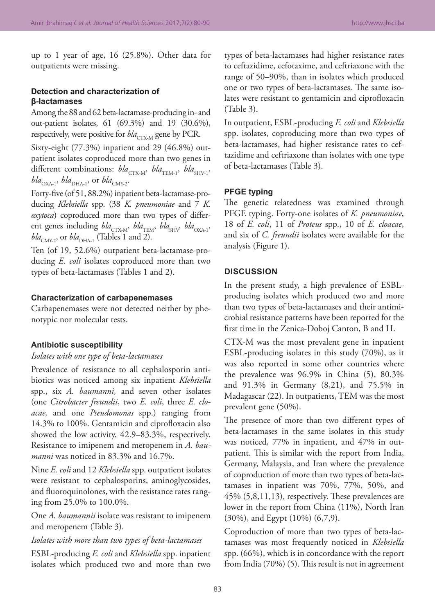up to 1 year of age, 16 (25.8%). Other data for outpatients were missing.

# **Detection and characterization of β-lactamases**

Among the 88 and 62 beta-lactamase-producing in- and out-patient isolates, 61 (69.3%) and 19 (30.6%), respectively, were positive for  $bla_{CTX-M}$  gene by PCR.

Sixty-eight (77.3%) inpatient and 29 (46.8%) outpatient isolates coproduced more than two genes in different combinations:  $bla_{\text{CTX-M}}$ ,  $bla_{\text{TEM-1}}$ ,  $bla_{\text{SHV-1}}$  $bla_{\text{OXA-1}}$ ,  $bla_{\text{DHA-1}}$ , or  $bla_{\text{CMY-2}}$ .

Forty-five (of 51, 88.2%) inpatient beta-lactamase-producing *Klebsiella* spp. (38 *K. pneumoniae* and 7 *K. oxytoca*) coproduced more than two types of different genes including *bla*<sub>CTX-M</sub>, *bla*<sub>TEM</sub>, *bla*<sub>SHV</sub>, *bla*<sub>OXA-1</sub>,  $bla_{\text{CMY-2}}$ , or  $bla_{\text{DHA-1}}$  (Tables 1 and 2).

Ten (of 19, 52.6%) outpatient beta-lactamase-producing *E. coli* isolates coproduced more than two types of beta-lactamases (Tables 1 and 2).

#### **Characterization of carbapenemases**

Carbapenemases were not detected neither by phenotypic nor molecular tests.

#### **Antibiotic susceptibility**

*Isolates with one type of beta-lactamases*

Prevalence of resistance to all cephalosporin antibiotics was noticed among six inpatient *Klebsiella* spp., six *A. baumanni,* and seven other isolates (one *Citrobacter freundii*, two *E. coli*, three *E. cloacae,* and one *Pseudomonas* spp.) ranging from 14.3% to 100%. Gentamicin and ciprofloxacin also showed the low activity, 42.9–83.3%, respectively. Resistance to imipenem and meropenem in *A. baumanni* was noticed in 83.3% and 16.7%.

Nine *E. coli* and 12 *Klebsiella* spp. outpatient isolates were resistant to cephalosporins, aminoglycosides, and fluoroquinolones, with the resistance rates ranging from 25.0% to 100.0%.

One *A. baumannii* isolate was resistant to imipenem and meropenem (Table 3).

*Isolates with more than two types of beta-lactamases* ESBL-producing *E. coli* and *Klebsiella* spp. inpatient isolates which produced two and more than two

types of beta-lactamases had higher resistance rates to ceftazidime, cefotaxime, and ceftriaxone with the range of 50–90%, than in isolates which produced one or two types of beta-lactamases. The same isolates were resistant to gentamicin and ciprofloxacin (Table 3).

In outpatient, ESBL-producing *E. coli* and *Klebsiella*  spp. isolates, coproducing more than two types of beta-lactamases, had higher resistance rates to ceftazidime and ceftriaxone than isolates with one type of beta-lactamases (Table 3).

#### **PFGE typing**

The genetic relatedness was examined through PFGE typing. Forty-one isolates of *K. pneumoniae*, 18 of *E. coli*, 11 of *Proteus* spp., 10 of *E. cloacae*, and six of *C. freundii* isolates were available for the analysis (Figure 1).

#### **DISCUSSION**

In the present study, a high prevalence of ESBLproducing isolates which produced two and more than two types of beta-lactamases and their antimicrobial resistance patterns have been reported for the first time in the Zenica-Doboj Canton, B and H.

CTX-M was the most prevalent gene in inpatient ESBL-producing isolates in this study (70%), as it was also reported in some other countries where the prevalence was 96.9% in China (5), 80.3% and 91.3% in Germany (8,21), and 75.5% in Madagascar (22). In outpatients, TEM was the most prevalent gene (50%).

The presence of more than two different types of beta-lactamases in the same isolates in this study was noticed, 77% in inpatient, and 47% in outpatient. This is similar with the report from India, Germany, Malaysia, and Iran where the prevalence of coproduction of more than two types of beta-lactamases in inpatient was 70%, 77%, 50%, and 45% (5,8,11,13), respectively. These prevalences are lower in the report from China (11%), North Iran (30%), and Egypt (10%) (6,7,9).

Coproduction of more than two types of beta-lactamases was most frequently noticed in *Klebsiella*  spp. (66%), which is in concordance with the report from India (70%) (5). This result is not in agreement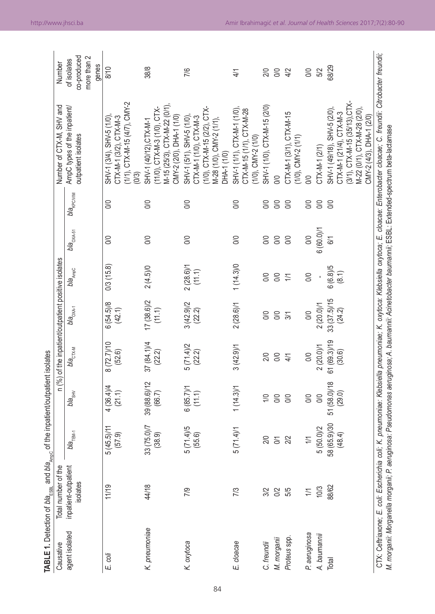|  | (11.1)<br>(22.2) | n (%) of the inpatient/outpatient positive isolates<br>bla <sub>стх-м</sub><br>bla <sub>сну</sub><br>(66.7) | $33(75.0)/7$ $39(88.6)/12$ $37(84.1)/4$ $17(38.6)/2$<br>(38.9)<br>$b/a$ <sub>TEM-1</sub> | <b>TABLE 1.</b> Detection of bla <sub>Essa</sub> and bla <sub>Ampc</sub> of the inpatient/outpatient isolates<br>Total number of the<br>inpatient-outpatient<br>dates<br>14/18<br>1/19<br><u>.ŏ</u> |  | Number of CTX-M, SHV and | AmpC types of the inpatient/<br>outpatient isolates<br><i>bla<sub>AmpC</sub> bla<sub>OXA-51</sub> bla<sub>kPC/VIM</sub></i><br>$b l a_{\rm ONA-1}$ | ,1/1), CTX-M-15 (4/7), CMY-2<br>(0/3)<br>CTX-M-1 (3/2), CTX-M-3<br>$SHV-1$ (3/4), $SHV-5$ (1/0),<br>S<br>S | SHV-1 (40/12),CTX-M-1<br>(11/0), CTX-M-3 (1/0), CTX-<br>M-15 (25/3), CTX-M-22 (0/1),<br>CMY-2 (2/0), DHA-1 (1/0)<br>$\frac{8}{2}$<br>8<br>$2(4.5)$ /0 |
|--|------------------|-------------------------------------------------------------------------------------------------------------|------------------------------------------------------------------------------------------|-----------------------------------------------------------------------------------------------------------------------------------------------------------------------------------------------------|--|--------------------------|----------------------------------------------------------------------------------------------------------------------------------------------------|------------------------------------------------------------------------------------------------------------|-------------------------------------------------------------------------------------------------------------------------------------------------------|
|--|------------------|-------------------------------------------------------------------------------------------------------------|------------------------------------------------------------------------------------------|-----------------------------------------------------------------------------------------------------------------------------------------------------------------------------------------------------|--|--------------------------|----------------------------------------------------------------------------------------------------------------------------------------------------|------------------------------------------------------------------------------------------------------------|-------------------------------------------------------------------------------------------------------------------------------------------------------|

| Causative      | TABLE 1. Detection of $\mathit{bl}$ е $_{\mathsf{ESBL}}$ and $\mathit{bl}$ а $_{\mathsf{AmpC}}$ of the inpatient/outpatient isolates<br>Total number of the                                      |                        |                          |                        | n (%) of the inpatient/outpatient positive isolates |                       |                       |                              | Number of CTX-M, SHV and                                                                                                                          | Number                                             |
|----------------|--------------------------------------------------------------------------------------------------------------------------------------------------------------------------------------------------|------------------------|--------------------------|------------------------|-----------------------------------------------------|-----------------------|-----------------------|------------------------------|---------------------------------------------------------------------------------------------------------------------------------------------------|----------------------------------------------------|
| agent isolated | inpatient-outpatient<br>isolates                                                                                                                                                                 | $b/a$ <sub>TEM-1</sub> | <b>bla<sub>sHV</sub></b> | $b l a_{\text{CTX-M}}$ | bla <sub>oxa-1</sub>                                | bla <sub>AmpC</sub>   | bla <sub>oxA-51</sub> | <b>bla<sub>kPC/VIM</sub></b> | AmpC types of the inpatient/<br>outpatient isolates                                                                                               | co-produced<br>more than 2<br>of isolates<br>genes |
| E coli         | 11/19                                                                                                                                                                                            | 5(45.5)/11<br>(57.9)   | 4(36.4)/4<br>(21.1)      | 8(72.7)/10<br>(52.6)   | 6(54.5)8<br>(42.1)                                  | 0/3(15.8)             | S                     | S                            | $(1/1)$ , CTX-M-15 (4/7), CMY-2<br>$SHV-1$ (3/4), $SHV-5$ (1/0).<br>CTX-M-1 (3/2), CTX-M-3<br>(0/3)                                               | 8/10                                               |
| K. pneumoniae  | 44/18                                                                                                                                                                                            | 33 (75.0)/7<br>(38.9)  | 39 (88.6)/12<br>(66.7)   | 37 (84.1)/4<br>(22.2)  | $17(38.6)/2$<br>(11.1)                              | $2(4.5)$ /0           | S                     | S                            | M-15 (25/3), CTX-M-22 (0/1),<br>(11/0), CTX-M-3 (1/0), CTX-<br>CMY-2 (2/0), DHA-1 (1/0)<br>SHV-1 (40/12), CTX-M-1                                 | 38/8                                               |
| K. oxytoca     | 7/9                                                                                                                                                                                              | 5(71.4)5<br>(55.6)     | $6(85.7)$ /1<br>(11.1)   | 5(71.4)/2<br>(22.2)    | 3(42.9)/2<br>(22.2)                                 | 2(28.6)/1<br>(11.1)   | S                     | S                            | $(1/0)$ , CTX-M-15 (2/2), CTX-<br>CTX-M-1 (1/0), CTX-M-3<br>SHV-1 (5/1), SHV-5 (1/0)<br>M-28 (1/0), CMY-2 (1/1)<br>DHA-1 (1/0)                    | 7/6                                                |
| E. cloacae     | 7/3                                                                                                                                                                                              | 5(71.4)/1              | 1(14.3)/1                | 3(42.9)/1              | 2(28.6)/1                                           | 1(14.3)0              | S                     | S                            | SHV-1 (1/1), CTX-M-1 (1/0),<br>CTX-M-15 (1/1), CTX-M-28<br>$(1/0)$ , CMY-2 $(1/0)$                                                                | 4/1                                                |
| C. freundii    | 3/2                                                                                                                                                                                              | $\approx$              | $\geq$                   | 2/0                    | S0                                                  | $\frac{1}{2}$         | S                     | S                            | SHV-1 (1/0), CTX-M-15 (2/0)                                                                                                                       | 2/0                                                |
| M. morganii    | 0/2<br>5/5                                                                                                                                                                                       | Σń                     | S                        | S0                     | $\overline{0}$                                      | S                     | S                     | $\infty$                     | S                                                                                                                                                 | S0                                                 |
| Proteus spp.   |                                                                                                                                                                                                  | 2/2                    | S                        | 4/1                    | $\overline{31}$                                     | $\geq$                | S                     | $\infty$                     | CTX-M-1 (3/1), CTX-M-15<br>$(1/0)$ , CMY-2 $(1/1)$                                                                                                | 4/2                                                |
| P. aeruginosa  | $\geq$                                                                                                                                                                                           | $\frac{1}{1}$          | S                        | $\overline{0}$         | $\frac{1}{2}$                                       | <b>SO</b>             | O/O                   | $\infty$                     | S                                                                                                                                                 | O/O                                                |
| A. baumannii   | 10/3                                                                                                                                                                                             | 5(50.0)/2              | S                        | 2(20.0)/1              | 2(20.0)/1                                           |                       | 6 (60.0)/1            | $\infty$                     | CTX-M-1 (2/1)                                                                                                                                     | 5/2                                                |
| Total          | 88/62                                                                                                                                                                                            | 58 (65.9)/30<br>(48.4) | 51 (58.0)/18<br>(29.0)   | 61(69.3)/19<br>(30.6)  | 33(37.5)/15<br>(24.2)                               | $6(6.8)/5$<br>$(8.1)$ | 6/1                   | $\infty$                     | (3/1), CTX-M-15 (35/13), CTX-<br>M-22 (0/1), CTX-M-28 (2/0),<br>SHV-1 (49/18), SHV-5 (2/0)<br>CTX-M-1 (21/4), CTX-M-3<br>CMY-2 (4/3), DHA-1 (2/0) | 68/29                                              |
|                | M. morganii: Morganella morganii; P. aeruginosa: Pseudomonas aeruginosa; A. baumannii: Acinetobacter baumannii; ESBL: Extended-spectrum beta-lactamase<br>CTX: Ceftriaxone; E. coli: Escherichia |                        |                          |                        |                                                     |                       |                       |                              | coli; K. pneumoniae: Klebsiella pneumoniae; K. oxytoca: Klebsiella oxytoca; E. cloacae: Enterobacter cloacae; C. freundii: Citrobacter freundii;  |                                                    |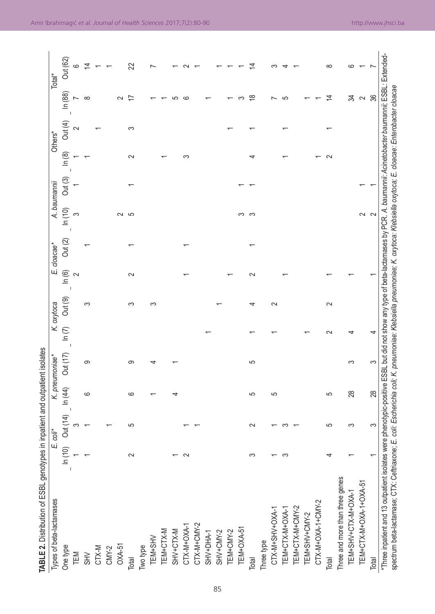| Types of beta-lactamases                                                                                                                                                             |                                   | $E.$ $coli^*$ |        | K. pneumoniae*  |        | K. oxytoca |          | E. cloacae* |        | A. baumannii |        | Others* |                          | Total <sup>*</sup> |
|--------------------------------------------------------------------------------------------------------------------------------------------------------------------------------------|-----------------------------------|---------------|--------|-----------------|--------|------------|----------|-------------|--------|--------------|--------|---------|--------------------------|--------------------|
| One type                                                                                                                                                                             | $\widehat{=}$<br>$\sum_{i=1}^{n}$ | Out (14)      | ln(44) | <b>Out (17)</b> | ln(7)  | Out (9)    | $\ln(6)$ | Out(2)      | ln(10) | Out (3)      | ln(8)  | Out(4)  | In (88)                  | Out (62)           |
| TEM                                                                                                                                                                                  |                                   | ∞             |        |                 |        |            | $\sim$   |             | S      |              |        | $\sim$  |                          | 6                  |
| $\leq$                                                                                                                                                                               |                                   |               | ပ      | ၜ               |        | S          |          |             |        |              |        |         | $\infty$                 | $\overline{4}$     |
| CTX-M                                                                                                                                                                                |                                   |               |        |                 |        |            |          |             |        |              |        |         |                          |                    |
| $CMN-2$                                                                                                                                                                              |                                   |               |        |                 |        |            |          |             |        |              |        |         |                          |                    |
| $OXA-51$                                                                                                                                                                             |                                   |               |        |                 |        |            |          |             | $\sim$ |              |        |         | $\sim$                   |                    |
| Total                                                                                                                                                                                | 2                                 | 5             | ဖ      | တ               |        | က          | 2        |             | S      |              | $\sim$ | က       | ₽                        | 22                 |
| Two type                                                                                                                                                                             |                                   |               |        |                 |        |            |          |             |        |              |        |         |                          |                    |
|                                                                                                                                                                                      |                                   |               |        |                 |        | က          |          |             |        |              |        |         |                          |                    |
| TEM+SHV<br>TEM+CTX-M<br>SHV+CTX-M<br>CTX-M+OXA-1                                                                                                                                     |                                   |               |        |                 |        |            |          |             |        |              |        |         |                          |                    |
|                                                                                                                                                                                      |                                   |               |        |                 |        |            |          |             |        |              |        |         |                          |                    |
|                                                                                                                                                                                      | 2                                 |               |        |                 |        |            |          |             |        |              | ∽      |         | $\circ$                  |                    |
| CTX-M+CMY-2                                                                                                                                                                          |                                   |               |        |                 |        |            |          |             |        |              |        |         |                          |                    |
| SHV+DHA-1                                                                                                                                                                            |                                   |               |        |                 |        |            |          |             |        |              |        |         |                          |                    |
| SHV+CMY-2                                                                                                                                                                            |                                   |               |        |                 |        |            |          |             |        |              |        |         |                          |                    |
| TEM+CMY-2                                                                                                                                                                            |                                   |               |        |                 |        |            |          |             |        |              |        |         |                          |                    |
| TEM+OXA-51                                                                                                                                                                           |                                   |               |        |                 |        |            |          |             | က က    |              |        |         |                          |                    |
| Total                                                                                                                                                                                | S                                 | 2             | 5      | ပ               |        | 4          | $\sim$   |             |        |              |        |         | $\frac{8}{10}$           | 4                  |
| Three type                                                                                                                                                                           |                                   |               |        |                 |        |            |          |             |        |              |        |         |                          |                    |
| CTX-M+SHV+OXA-1                                                                                                                                                                      |                                   |               | 5      |                 |        | $\sim$     |          |             |        |              |        |         | $\overline{\phantom{0}}$ |                    |
| TEM+CTX-M+OXA-1                                                                                                                                                                      | S                                 |               |        |                 |        |            |          |             |        |              |        |         | 5                        |                    |
| TEM+CTX-M+CMY-2                                                                                                                                                                      |                                   |               |        |                 |        |            |          |             |        |              |        |         |                          |                    |
| TEM+SHV+CMY-2                                                                                                                                                                        |                                   |               |        |                 |        |            |          |             |        |              |        |         |                          |                    |
| CTX-M+OXA-1+CMY-2                                                                                                                                                                    |                                   |               |        |                 |        |            |          |             |        |              |        |         |                          |                    |
| Total                                                                                                                                                                                | 4                                 | 5             | 5      |                 | $\sim$ | 2          |          |             |        |              |        |         | 4                        | $\infty$           |
| Three and more than three genes                                                                                                                                                      |                                   |               |        |                 |        |            |          |             |        |              |        |         |                          |                    |
| TEM+SHV+CTX-M+OXA-1                                                                                                                                                                  |                                   | S             | 28     | S               | 4      |            |          |             |        |              |        |         | ≵                        | ဖ                  |
| TEM+CTX-M+OXA-1+OXA-51                                                                                                                                                               |                                   |               |        |                 |        |            |          |             | $\sim$ |              |        |         | $\sim$                   |                    |
| Total                                                                                                                                                                                |                                   | S             | 28     | S               | 4      |            |          |             | $\sim$ |              |        |         | 36                       |                    |
| *Three inpatient and 13 outpatient isolates were phenotypic-positive ESBL but did not show any type of beta-lactamases by PCR. A. baumamii, Acinetobacter baumannii; ESBL: Extended- |                                   |               |        |                 |        |            |          |             |        |              |        |         |                          |                    |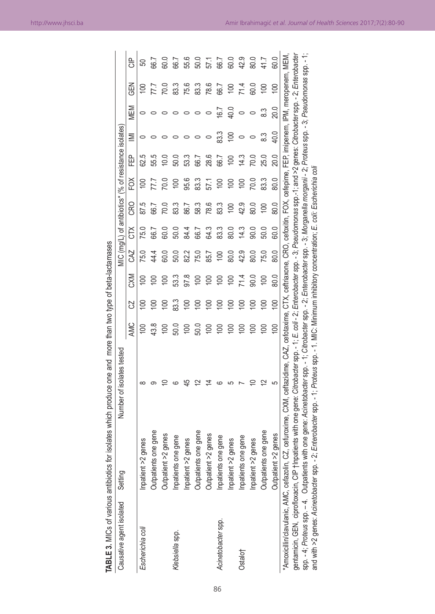| <b>TABLE 3. MICs of various antibiotics for i</b> |                          | isolates which produce one and more than two type of beta-lactamases                                                                                                                       |                  |                |                  |                  |      |                |                |                                                       |          |                  |                  |                  |
|---------------------------------------------------|--------------------------|--------------------------------------------------------------------------------------------------------------------------------------------------------------------------------------------|------------------|----------------|------------------|------------------|------|----------------|----------------|-------------------------------------------------------|----------|------------------|------------------|------------------|
| Causative agent isolated                          | Setting                  | Number of isolates tested                                                                                                                                                                  |                  |                |                  |                  |      |                |                | MIC (mg/L) of antibiotics* (% of resistance isolates) |          |                  |                  |                  |
|                                                   |                          |                                                                                                                                                                                            | AMC              | S              | <b>CXM</b>       | <b>ZKO</b>       | čŘ   | CRO            | ξ              | Ë                                                     | $\equiv$ | MEM              | るの               | 음<br>○           |
| Escherichia col                                   | Inpatient >2 genes       |                                                                                                                                                                                            | $\mathsf{S}$     | $\Xi$          | $\approx$        | 75.0             | 75.0 | 87.5           | <u>ទ</u>       | 62.5                                                  |          |                  | <u>ទ</u>         |                  |
|                                                   | e gene<br>Outpatients or |                                                                                                                                                                                            | 43.8             | $\Xi$          |                  | 44.4             | 66.7 | 66.7           |                | 55.5                                                  |          |                  |                  | 56.7             |
|                                                   | genes<br>Outpatient >2   |                                                                                                                                                                                            | $\approx$        | $\Xi$          |                  | 60.0             | 60.0 | <b>PO</b>      | $\frac{10}{2}$ |                                                       |          |                  | $\overline{0.0}$ | 60.0             |
| Klebsiella spp.                                   | gene<br>Inpatients one   |                                                                                                                                                                                            | 50.0             | 83.3           | ದೆ.<br>ದ         | 50.0             | 50.0 | 83.3           | <u>ទ</u>       | ນິ                                                    |          |                  | 83.3             | 66.7             |
|                                                   | Inpatient >2 genes       |                                                                                                                                                                                            | $\overline{100}$ | $\Xi$          | 97.8             | 82.2             | 84.4 | 86.7           | 95.6           | ಼                                                     |          |                  | 75.6             | 55.6             |
|                                                   | e gene<br>Outpatients or |                                                                                                                                                                                            | 50.0             | <u>ទ</u>       | $\overline{100}$ | 75.0             | 66.7 | 58.3           | 83.3           | 66.7                                                  |          |                  | 83.3             | 50.0             |
|                                                   | genes<br>Outpatient >2   |                                                                                                                                                                                            | $\overline{100}$ | $\Xi$          | <u>ទ</u>         | 85.7             | 64.3 | 78.6           | 57.1           | 28.6                                                  |          |                  | 78.6             | 57.1             |
| Acinetobacter spp.                                | gene<br>Inpatients one   |                                                                                                                                                                                            | $\approx$        | $\overline{5}$ | <u>ទ</u>         | $\overline{100}$ | 83.3 | 83.3           | <u>ទ</u>       | 66.7                                                  | 83.3     | $\overline{6.7}$ | 66.7             | 66.7             |
|                                                   | Inpatient >2 genes       |                                                                                                                                                                                            | $\Xi$            | $\overline{5}$ | $\Xi$            | 80.0             | 80.0 | $\overline{5}$ | $\approx$      | ξ                                                     | $\Xi$    | 40.0             | $\overline{100}$ | 60.0             |
| Ostalo†                                           | gene<br>Inpatients one   |                                                                                                                                                                                            | $\Xi$            | $\overline{5}$ | 71.4             | 42.9             | 14.3 | 42.9           | ξ              | $\frac{3}{4}$                                         |          |                  | 71.4             | 42.9             |
|                                                   | Inpatient >2 genes       |                                                                                                                                                                                            |                  |                | 90.0             | 80.0             | 0.06 | 80.0           | 70.0           | δù                                                    |          |                  | ລິ               | $\frac{6}{41.7}$ |
|                                                   | e gene<br>Outpatients or |                                                                                                                                                                                            |                  |                | $\Xi$            | 75.0             | 50.0 |                | 83.3           | 25.0                                                  |          |                  | <u>ප</u>         |                  |
|                                                   | genes<br>Outpatient >2   |                                                                                                                                                                                            | $\mathsf{S}$     | $\geq$         | 80.0             | 80.0             | 60.0 | 80.0           | 80.0           | 20.0                                                  | 40.0     | 20.0             | $\overline{100}$ | 60.0             |
| *Amoxicillin/clavulanic, AMC, cefazolin, CZ,      |                          | cefuroxime, CXM, ceftazidime, CAZ, cefotaxime, CTX, ceftriaxone, CRO, cefoxitin, FOX, cefepime, FEP, imipenem, IPM, meropenem, MEM                                                         |                  |                |                  |                  |      |                |                |                                                       |          |                  |                  |                  |
| gentamicin, GEN, ciprofloxacin, CIP †Inpat        |                          | ients with one gene: Citrobacter spp. - 1; E. coli - 2; Enterobacter spp. - 3; Pseudomonas spp.-1; and >2 genes: Citrobacter spp. - 2; Enterobacte                                         |                  |                |                  |                  |      |                |                |                                                       |          |                  |                  |                  |
|                                                   |                          | spp. - 4; Proteus spp. - 4. Outpatients with one gene: Acinetobacter spp. - 1; Citrobacter spp. - 2; Morobacter spp. - 3; Morganella morganii - 2; Proteus spp. - 3; Pseudomonas spp. - 1; |                  |                |                  |                  |      |                |                |                                                       |          |                  |                  |                  |
| and with >2 genes: Acinetobacter spp. - 2;        |                          | Enterobacter spp. - 1; Proteus spp. - 1. MIC: Minimum inhibitory concentration; E. coli: Escherichia coli                                                                                  |                  |                |                  |                  |      |                |                |                                                       |          |                  |                  |                  |

86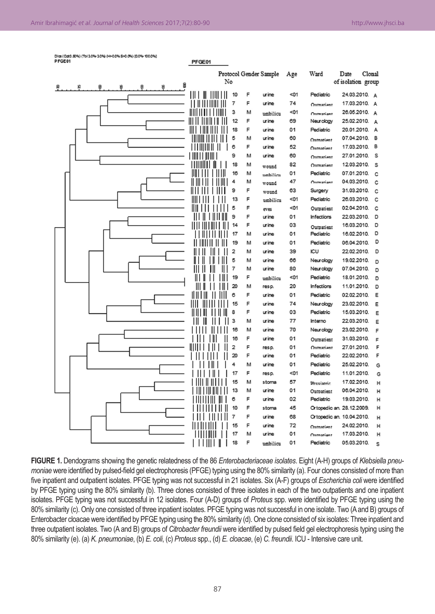|        |  |  | Dice (Oct0.50%) (Toi 3.0% 3.0%) (H>0.0% S>0.0%) (0.0% 100.0%) |  |
|--------|--|--|---------------------------------------------------------------|--|
| PFGE01 |  |  |                                                               |  |

|                              |         |                |        | Protocol Gender Sample | Age  | Ward                      | Clonal<br>Date     |        |
|------------------------------|---------|----------------|--------|------------------------|------|---------------------------|--------------------|--------|
| θ<br>ë<br>ę<br>₿<br>١Ŗ<br>12 |         | No             |        |                        |      |                           | of isolation group |        |
|                              |         | 10             | F      | urine                  | $01$ | Pediatric                 | 24.03.2010. A      |        |
|                              | 1 II II | 7              | F      | urine                  | 74   | Outnatient                | 17.03.2010.        | A      |
|                              |         | 3              | м      | umbilicu               | <01  | Ontwatiant                | 26.05.2010.        | A      |
|                              |         | 12             | F      | urine                  | 69   | Neurology                 | 25.02.2010.        | A      |
|                              |         | 18             | F      | urine                  | 01   | Pediatric                 | 20.01.2010.        | А      |
|                              |         | 5              | м      | urine                  | 60   |                           | 07.04.2010.        | в      |
|                              |         | 6              | F      | urine                  | 52   | Outnatient<br>Outnatiant  | 17.03.2010.        | В      |
|                              |         | 9              | м      | urine                  | 60   | Outnatient                | 27.01.2010.        | s      |
|                              |         | 18             | м      |                        | 82   | Outnatient                | 12.03.2010.        | s      |
|                              |         | 16             | М      | wound                  | 01   | Pediatric                 | 07.01.2010.        | c      |
|                              |         | 4              | м      | umbilicu<br>wound      | 47   | Ontmatiant                | 04.03.2010.        | c      |
|                              |         | 9              | F      |                        | 63   | Surgery                   | 31.03.2010.        | c      |
|                              |         | 13             | F      | wound<br>umbilicu      | $01$ | Pediatric                 | 26.03.2010.        | c      |
|                              |         | 5              | F      |                        | <01  | Outpatient                | 02.04.2010.        | c      |
|                              |         | 9              | F      | eves<br>urine          | 01   | <b>Infections</b>         | 22.03.2010.        | D      |
|                              |         | 14             | F      | urine                  | 03   |                           | 16.03.2010.        | D      |
|                              |         | 17             | М      | urine                  | 01   | Outpatient<br>Pediatric   | 16.02.2010.        | D      |
|                              |         | 19             | м      | urine                  | 01   | Pediatric                 | 06.04.2010.        | D      |
|                              |         | 2              | м      | urine                  | 39   | ICU                       | 22.02.2010.        | D      |
|                              |         | 5              | М      | urine                  | 66   | Neurology                 | 19.02.2010.        |        |
|                              |         | 7              | м      | urine                  | 80   | Neurology                 | 07.04.2010.        | D      |
|                              |         | 19             | F      |                        | $01$ | Pediatric                 | 18.01.2010.        | D      |
|                              |         | 20             | м      | umbilicu<br>resp.      | 20   | <b>Infections</b>         | 11.01.2010.        | D<br>D |
|                              |         | 6              | F      | urine                  | 01   | Pediatric                 | 02.02.2010.        | Ε      |
|                              |         | 15             | F      | urine                  | 74   |                           | 23.02.2010.        | Ε      |
|                              |         | 8              | F      | urine                  | 03   | Neurology<br>Pediatric    | 15.03.2010.        |        |
|                              |         | з              | м      | urine                  | 77   | Interno                   | 22.03.2010.        | Ε      |
|                              |         | 16             | м      | urine                  | 70   |                           | 23.02.2010.        | Ε      |
|                              |         | 16             | F      | urine                  | 01   | Neurology                 | 31.03.2010.        | F      |
|                              |         | $\overline{2}$ | F      |                        | 01   | Outpatient                | 27.01.2010.        | F<br>F |
|                              |         | 20             | F      | resp.<br>urine         | 01   | Outnatient<br>Pediatric   | 22.02.2010.        | F      |
|                              |         | 4              | М      | urine                  | 01   | Pediatric                 | 25.02.2010.        |        |
|                              |         | 17             | F      |                        | <01  | Pediatric                 | 11.01.2010.        | G      |
|                              |         | 15             |        | resp.                  | 57   |                           | 17.02.2010.        | G      |
|                              |         | 13             | м<br>м | stoma<br>urine         | 01   | <b>Physiatric</b>         | 06.04.2010.        | H      |
|                              |         | 6              | F      | urine                  | 02   | Outpatient<br>Pediatric   | 19.03.2010.        | Н      |
|                              |         |                |        |                        |      |                           |                    | H      |
|                              |         | 10             | F<br>F | stoma                  | 45   | Ortopedic an. 28.12.2009. |                    | Н      |
|                              |         | 7              |        | urine                  | 68   | Ortopedic an. 10.04.2010. |                    | Н      |
|                              |         | 15             | F      | urine                  | 72   | Outnationt                | 24.02.2010.        | Н      |
|                              |         | 17             | м      | urine                  | 01   | Ontmatiant                | 17.03.2010.        | Н      |
|                              |         | 18             | F      | umbilicu               | 01   | Pediatric                 | 05.03.2010.        | s      |

PFGE01

**FIGURE 1.** Dendograms showing the genetic relatedness of the 86 *Enterobacteriaceae isolates*. Eight (A-H) groups of *Klebsiella pneumoniae* were identified by pulsed-field gel electrophoresis (PFGE) typing using the 80% similarity (a). Four clones consisted of more than five inpatient and outpatient isolates. PFGE typing was not successful in 21 isolates. Six (A-F) groups of *Escherichia coli* were identified by PFGE typing using the 80% similarity (b). Three clones consisted of three isolates in each of the two outpatients and one inpatient isolates. PFGE typing was not successful in 12 isolates. Four (A-D) groups of *Proteus* spp. were identified by PFGE typing using the 80% similarity (c). Only one consisted of three inpatient isolates. PFGE typing was not successful in one isolate. Two (A and B) groups of Enterobacter cloacae were identified by PFGE typing using the 80% similarity (d). One clone consisted of six isolates: Three inpatient and three outpatient isolates. Two (A and B) groups of *Citrobacter freundii* were identified by pulsed field gel electrophoresis typing using the 80% similarity (e). (a) *K. pneumoniae*, (b) *E. coli*, (c) *Proteus* spp., (d) *E. cloacae*, (e) *C. freundii*. ICU - Intensive care unit.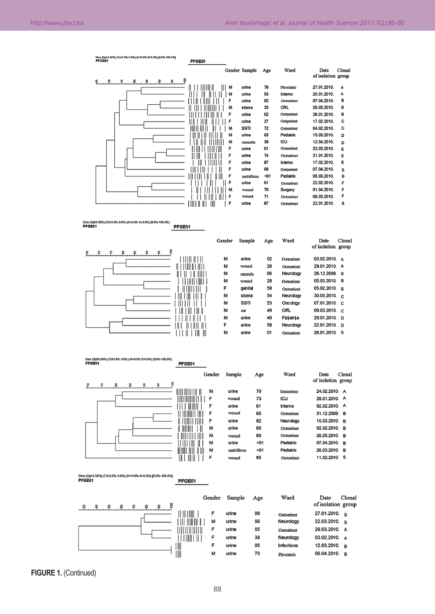#### Dice (Opt.0.50%) (Tol.3.0%-3.0%) (H>0.0% S>0.0%) [0.0%-100.0%]<br>PEGE01 PFGE01 Gender Sample Ward Date Clonal  $A\alpha$ e of isolation group Ş Ŗ. န္  $\boldsymbol{z}$ a 8 8  $\boldsymbol{\mathsf{s}}$  $111111111$  $\mathbf{III}$  $\mathbf{M}$ urine 78 27.01.2010. **Physiotric**  $\Delta$ ïм urine 53 Interno 20.01.2010. A F urine  $_{02}$ Outpatient 07.04.2010.  $\overline{R}$  $\overline{1}$  $\frac{1}{33}$ ORL 26.03.2010.  $\mathbf{B}$ II III TIMMITTI M stoma mminninn  $\mathbf{F}$ urine  $\overline{02}$ Outnatient 26.01.2010 B ורתורות ומודים<br>די חרשות  $\mathbf{F}$ urine  $27$ Outpatient 17.02.2010.  $\mathtt{c}$ SSTI  $\overline{72}$ 04.02.2010  $\mathbf{c}$  $\mathbf{M}$ Outpatient FIII II II II II II ÌI M urine O3 Pediatric 15.03.2010. D 39 ICU 12.04.2010. i ïï iiiiiiii M cannulla Ш D  $\mathbf{F}$ urine 01 23.03.2010 ni in i'i rittimi Outpatient E ШÜ  $\mathsf{F}$ urine 74 Outpatient 21.01.2010. E 17.02.2010. mi i initi i  $\mathsf{F}$ urine 67 Interno E  $\epsilon$ urine **OR** 07.04.2010 TILL LETTI Outpatiant s rii'i in ini ni ini  $\mathbf{F}$ umbillicus <01 Pediatric 05.03.2010. s  $\overline{F}$ urine 01 22.02.2010. ii'i Tiri ïп F Outpatient ון וון וון וון<br>די יווי ישראלי ישראלי (די ישראלי).  $70$ 01.04.2010 wound Surgery F.  $\mathsf F$ wound 71 Outpatient 08.03.2010.  $\mathbf{F}$ urine 67 22.01.2010. s TINTI IN TII Outpatient  $\overline{\phantom{a}}$

Dice (Opt0.50%) (Tol3.0%-3.0%) (H>0.0% \$>0.0%) [0.0%-100.0%]<br>PFGE01 PFGE01

¥



Dke (Opt0.50%) (Tol3.0%-3.0%) (H>0.0% S>0.0%) [0.0%-100.0%]<br>PFGE01 PFGE01

| 8<br>ႜႜ              | Gender                 | Sample     | Age | Ward       | Clonal<br>Date<br>of isolation group |
|----------------------|------------------------|------------|-----|------------|--------------------------------------|
| $\ddot{a}$<br>ຂ<br>ะ | M                      | urine      | 70  | Outpatient | 24.02.2010. A                        |
| Ⅲ                    | F                      | wound      | 73  | ICU        | 28.01.2010. A                        |
|                      | F                      | urine      | 61  | Interno    | 02.02.2010. A                        |
|                      | F                      | wound      | 65  | Outpatient | 31.12.2009. B                        |
|                      | F                      | urine      | 82  | Neurology  | 10.03.2010. B                        |
|                      | M                      | urine      | 65  | Outpatient | 02.02.2010. B                        |
|                      | M                      | wound      | 60  | Outpatient | 26.05.2010. B                        |
|                      | M                      | urine      | <01 | Pediatric  | 07.04.2010. B                        |
| III III              | $\mathbb{I}$<br>Ш<br>M | umbillicus | <01 | Pediatric  | 26.03.2010. B                        |
|                      | F                      | wound      | 85  | Outpatient | 11.02.2010. S                        |

Dice (Opt.0.50%) (Tol.3.0%-3.0%) (H>0.0% \$>0.0%) [0.0%-100.0%]<br>PFGE01

PFGE01

| 8<br>ຂ<br>ន<br>೫ ಕ |           | Gender | Sample | Age | Ward       | Clonal<br>Date<br>of isolation group |
|--------------------|-----------|--------|--------|-----|------------|--------------------------------------|
|                    | $\  \ \ $ | F      | urine  | 09  | Outpatient | $27.01.2010.$ s                      |
|                    |           | M      | urine  | 56  | Neurology  | 22.03.2010. S                        |
|                    |           | F      | urine  | 55  | Outpatient | 29.03.2010. A                        |
|                    |           | F      | urine  | 38  | Neurology  | 03.02.2010. A                        |
|                    | III       | F      | urine  | 05  | Infections | 12.03.2010. B                        |
|                    | III       | М      | urine  | 70  | Physiatric | 06.04.2010. B                        |

**FIGURE 1.** (Continued)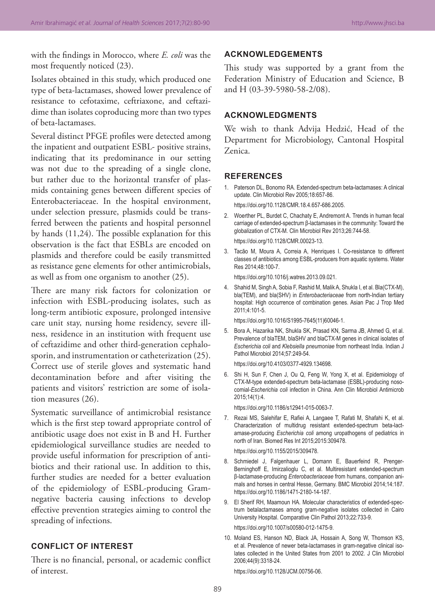with the findings in Morocco, where *E. coli* was the most frequently noticed (23).

Isolates obtained in this study, which produced one type of beta-lactamases, showed lower prevalence of resistance to cefotaxime, ceftriaxone, and ceftazidime than isolates coproducing more than two types of beta-lactamases.

Several distinct PFGE profiles were detected among the inpatient and outpatient ESBL- positive strains, indicating that its predominance in our setting was not due to the spreading of a single clone, but rather due to the horizontal transfer of plasmids containing genes between different species of Enterobacteriaceae. In the hospital environment, under selection pressure, plasmids could be transferred between the patients and hospital personnel by hands (11,24). The possible explanation for this observation is the fact that ESBLs are encoded on plasmids and therefore could be easily transmitted as resistance gene elements for other antimicrobials, as well as from one organism to another (25).

There are many risk factors for colonization or infection with ESBL-producing isolates, such as long-term antibiotic exposure, prolonged intensive care unit stay, nursing home residency, severe illness, residence in an institution with frequent use of ceftazidime and other third-generation cephalosporin, and instrumentation or catheterization (25). Correct use of sterile gloves and systematic hand decontamination before and after visiting the patients and visitors' restriction are some of isolation measures (26).

Systematic surveillance of antimicrobial resistance which is the first step toward appropriate control of antibiotic usage does not exist in B and H. Further epidemiological surveillance studies are needed to provide useful information for prescription of antibiotics and their rational use. In addition to this, further studies are needed for a better evaluation of the epidemiology of ESBL-producing Gramnegative bacteria causing infections to develop effective prevention strategies aiming to control the spreading of infections.

#### **CONFLICT OF INTEREST**

There is no financial, personal, or academic conflict of interest.

### **ACKNOWLEDGEMENTS**

This study was supported by a grant from the Federation Ministry of Education and Science, B and H (03-39-5980-58-2/08).

# **ACKNOWLEDGMENTS**

We wish to thank Advija Hedzić, Head of the Department for Microbiology, Cantonal Hospital Zenica.

#### **REFERENCES**

- 1. Paterson DL, Bonomo RA. Extended-spectrum beta-lactamases: A clinical update. Clin Microbiol Rev 2005;18:657-86. https://doi.org/10.1128/CMR.18.4.657-686.2005.
- 2. Woerther PL, Burdet C, Chachaty E, Andremont A. Trends in human fecal carriage of extended-spectrum β-lactamases in the community: Toward the globalization of CTX-M. Clin Microbiol Rev 2013;26:744-58. https://doi.org/10.1128/CMR.00023-13.
- 3. Tacão M, Moura A, Correia A, Henriques I. Co-resistance to different classes of antibiotics among ESBL-producers from aquatic systems. Water Res 2014;48:100-7.

https://doi.org/10.1016/j.watres.2013.09.021.

4. Shahid M, Singh A, Sobia F, Rashid M, Malik A, Shukla I, et al. Bla(CTX-M), bla(TEM), and bla(SHV) in *Enterobacteriaceae* from north-Indian tertiary hospital: High occurrence of combination genes. Asian Pac J Trop Med 2011;4:101-5.

https://doi.org/10.1016/S1995-7645(11)60046-1.

5. Bora A, Hazarika NK, Shukla SK, Prasad KN, Sarma JB, Ahmed G, et al. Prevalence of blaTEM, blaSHV and blaCTX-M genes in clinical isolates of *Escherichia coli* and *Klebsiella pneumoniae* from northeast India. Indian J Pathol Microbiol 2014;57:249-54.

https://doi.org/10.4103/0377-4929.134698.

6. Shi H, Sun F, Chen J, Ou Q, Feng W, Yong X, et al. Epidemiology of CTX-M-type extended-spectrum beta-lactamase (ESBL)-producing nosocomial-*Escherichia coli* infection in China. Ann Clin Microbiol Antimicrob 2015;14(1):4.

https://doi.org/10.1186/s12941-015-0063-7.

7. Rezai MS, Salehifar E, Rafiei A, Langaee T, Rafati M, Shafahi K, et al. Characterization of multidrug resistant extended-spectrum beta-lactamase-producing *Escherichia coli* among uropathogens of pediatrics in north of Iran. Biomed Res Int 2015;2015:309478.

https://doi.org/10.1155/2015/309478.

- 8. Schmiedel J, Falgenhauer L, Domann E, Bauerfeind R, Prenger-Berninghoff E, Imirzalioglu C, et al. Multiresistant extended-spectrum β-lactamase-producing *Enterobacteriaceae* from humans, companion animals and horses in central Hesse, Germany. BMC Microbiol 2014;14:187. https://doi.org/10.1186/1471-2180-14-187.
- 9. El Sherif RH, Maamoun HA. Molecular characteristics of extended-spectrum betalactamases among gram-negative isolates collected in Cairo University Hospital. Comparative Clin Pathol 2013;22:733-9.

https://doi.org/10.1007/s00580-012-1475-9.

10. Moland ES, Hanson ND, Black JA, Hossain A, Song W, Thomson KS, et al. Prevalence of newer beta-lactamases in gram-negative clinical isolates collected in the United States from 2001 to 2002. J Clin Microbiol 2006;44(9):3318-24.

https://doi.org/10.1128/JCM.00756-06.